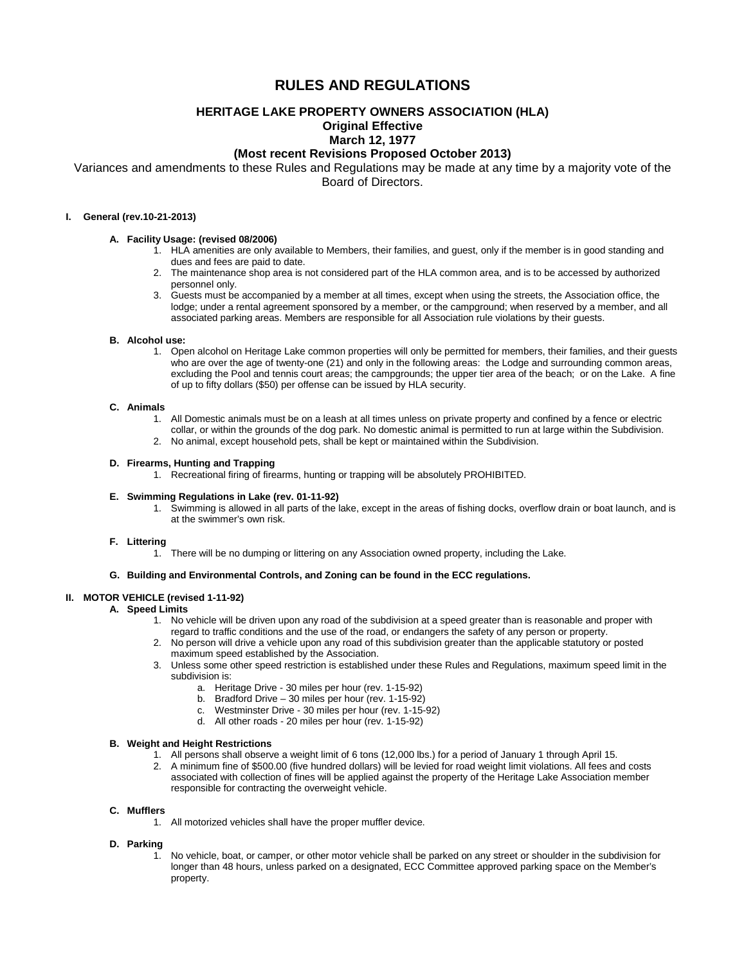# **RULES AND REGULATIONS**

# **HERITAGE LAKE PROPERTY OWNERS ASSOCIATION (HLA)**

# **Original Effective March 12, 1977**

# **(Most recent Revisions Proposed October 2013)**

Variances and amendments to these Rules and Regulations may be made at any time by a majority vote of the Board of Directors.

#### **I. General (rev.10-21-2013)**

## **A. Facility Usage: (revised 08/2006)**

- 1. HLA amenities are only available to Members, their families, and guest, only if the member is in good standing and dues and fees are paid to date.
- 2. The maintenance shop area is not considered part of the HLA common area, and is to be accessed by authorized personnel only.
- 3. Guests must be accompanied by a member at all times, except when using the streets, the Association office, the lodge; under a rental agreement sponsored by a member, or the campground; when reserved by a member, and all associated parking areas. Members are responsible for all Association rule violations by their guests.

#### **B. Alcohol use:**

1. Open alcohol on Heritage Lake common properties will only be permitted for members, their families, and their guests who are over the age of twenty-one (21) and only in the following areas: the Lodge and surrounding common areas, excluding the Pool and tennis court areas; the campgrounds; the upper tier area of the beach; or on the Lake. A fine of up to fifty dollars (\$50) per offense can be issued by HLA security.

#### **C. Animals**

- 1. All Domestic animals must be on a leash at all times unless on private property and confined by a fence or electric collar, or within the grounds of the dog park. No domestic animal is permitted to run at large within the Subdivision.
- 2. No animal, except household pets, shall be kept or maintained within the Subdivision.

#### **D. Firearms, Hunting and Trapping**

1. Recreational firing of firearms, hunting or trapping will be absolutely PROHIBITED.

#### **E. Swimming Regulations in Lake (rev. 01-11-92)**

1. Swimming is allowed in all parts of the lake, except in the areas of fishing docks, overflow drain or boat launch, and is at the swimmer's own risk.

# **F. Littering**

1. There will be no dumping or littering on any Association owned property, including the Lake.

#### **G. Building and Environmental Controls, and Zoning can be found in the ECC regulations.**

#### **II. MOTOR VEHICLE (revised 1-11-92)**

# **A. Speed Limits**

- 1. No vehicle will be driven upon any road of the subdivision at a speed greater than is reasonable and proper with regard to traffic conditions and the use of the road, or endangers the safety of any person or property.
- 2. No person will drive a vehicle upon any road of this subdivision greater than the applicable statutory or posted maximum speed established by the Association.
- 3. Unless some other speed restriction is established under these Rules and Regulations, maximum speed limit in the subdivision is:
	- a. Heritage Drive 30 miles per hour (rev. 1-15-92)
	- b. Bradford Drive 30 miles per hour (rev. 1-15-92)
	- c. Westminster Drive 30 miles per hour (rev. 1-15-92)
	- d. All other roads 20 miles per hour (rev. 1-15-92)

### **B. Weight and Height Restrictions**

- 1. All persons shall observe a weight limit of 6 tons (12,000 lbs.) for a period of January 1 through April 15.<br>2. A minimum fine of \$500.00 (five hundred dollars) will be levied for road weight limit violations. All fees
- 2. A minimum fine of \$500.00 (five hundred dollars) will be levied for road weight limit violations. All fees and costs associated with collection of fines will be applied against the property of the Heritage Lake Association member responsible for contracting the overweight vehicle.

#### **C. Mufflers**

1. All motorized vehicles shall have the proper muffler device.

## **D. Parking**

No vehicle, boat, or camper, or other motor vehicle shall be parked on any street or shoulder in the subdivision for longer than 48 hours, unless parked on a designated, ECC Committee approved parking space on the Member's property.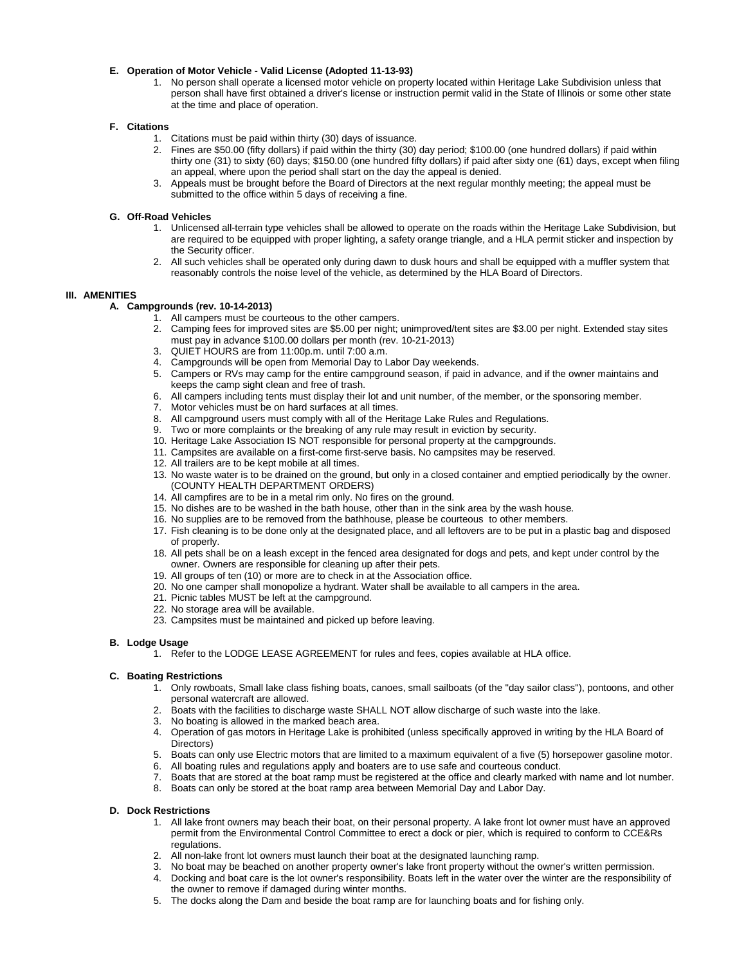#### **E. Operation of Motor Vehicle - Valid License (Adopted 11-13-93)**

1. No person shall operate a licensed motor vehicle on property located within Heritage Lake Subdivision unless that person shall have first obtained a driver's license or instruction permit valid in the State of Illinois or some other state at the time and place of operation.

#### **F. Citations**

- 1. Citations must be paid within thirty (30) days of issuance.
- 2. Fines are \$50.00 (fifty dollars) if paid within the thirty (30) day period; \$100.00 (one hundred dollars) if paid within thirty one (31) to sixty (60) days; \$150.00 (one hundred fifty dollars) if paid after sixty one (61) days, except when filing an appeal, where upon the period shall start on the day the appeal is denied.
- 3. Appeals must be brought before the Board of Directors at the next regular monthly meeting; the appeal must be submitted to the office within 5 days of receiving a fine.

#### **G. Off-Road Vehicles**

- 1. Unlicensed all-terrain type vehicles shall be allowed to operate on the roads within the Heritage Lake Subdivision, but are required to be equipped with proper lighting, a safety orange triangle, and a HLA permit sticker and inspection by the Security officer.
- 2. All such vehicles shall be operated only during dawn to dusk hours and shall be equipped with a muffler system that reasonably controls the noise level of the vehicle, as determined by the HLA Board of Directors.

#### **III. AMENITIES**

## **A. Campgrounds (rev. 10-14-2013)**

- 1. All campers must be courteous to the other campers.
- 2. Camping fees for improved sites are \$5.00 per night; unimproved/tent sites are \$3.00 per night. Extended stay sites must pay in advance \$100.00 dollars per month (rev. 10-21-2013)
- 3. QUIET HOURS are from 11:00p.m. until 7:00 a.m.
- 4. Campgrounds will be open from Memorial Day to Labor Day weekends.
- 5. Campers or RVs may camp for the entire campground season, if paid in advance, and if the owner maintains and keeps the camp sight clean and free of trash.
- 6. All campers including tents must display their lot and unit number, of the member, or the sponsoring member.
- 7. Motor vehicles must be on hard surfaces at all times.
- 8. All campground users must comply with all of the Heritage Lake Rules and Regulations.
- 9. Two or more complaints or the breaking of any rule may result in eviction by security.
- 10. Heritage Lake Association IS NOT responsible for personal property at the campgrounds.
- 11. Campsites are available on a first-come first-serve basis. No campsites may be reserved.
- 12. All trailers are to be kept mobile at all times.
- 13. No waste water is to be drained on the ground, but only in a closed container and emptied periodically by the owner. (COUNTY HEALTH DEPARTMENT ORDERS)
- 14. All campfires are to be in a metal rim only. No fires on the ground.
- 15. No dishes are to be washed in the bath house, other than in the sink area by the wash house.
- 16. No supplies are to be removed from the bathhouse, please be courteous to other members.
- 17. Fish cleaning is to be done only at the designated place, and all leftovers are to be put in a plastic bag and disposed of properly.
- 18. All pets shall be on a leash except in the fenced area designated for dogs and pets, and kept under control by the owner. Owners are responsible for cleaning up after their pets.
- 19. All groups of ten (10) or more are to check in at the Association office.
- 20. No one camper shall monopolize a hydrant. Water shall be available to all campers in the area.
- 21. Picnic tables MUST be left at the campground.
- 22. No storage area will be available.
- 23. Campsites must be maintained and picked up before leaving.

#### **B. Lodge Usage**

1. Refer to the LODGE LEASE AGREEMENT for rules and fees, copies available at HLA office.

## **C. Boating Restrictions**

- 1. Only rowboats, Small lake class fishing boats, canoes, small sailboats (of the "day sailor class"), pontoons, and other personal watercraft are allowed.
- 2. Boats with the facilities to discharge waste SHALL NOT allow discharge of such waste into the lake.
- 3. No boating is allowed in the marked beach area.
- 4. Operation of gas motors in Heritage Lake is prohibited (unless specifically approved in writing by the HLA Board of Directors)
- 5. Boats can only use Electric motors that are limited to a maximum equivalent of a five (5) horsepower gasoline motor.
- 6. All boating rules and regulations apply and boaters are to use safe and courteous conduct.
- 7. Boats that are stored at the boat ramp must be registered at the office and clearly marked with name and lot number.
- 8. Boats can only be stored at the boat ramp area between Memorial Day and Labor Day.

#### **D. Dock Restrictions**

- 1. All lake front owners may beach their boat, on their personal property. A lake front lot owner must have an approved permit from the Environmental Control Committee to erect a dock or pier, which is required to conform to CCE&Rs regulations.
- 2. All non-lake front lot owners must launch their boat at the designated launching ramp.
- 3. No boat may be beached on another property owner's lake front property without the owner's written permission.
- 4. Docking and boat care is the lot owner's responsibility. Boats left in the water over the winter are the responsibility of the owner to remove if damaged during winter months.
- 5. The docks along the Dam and beside the boat ramp are for launching boats and for fishing only.